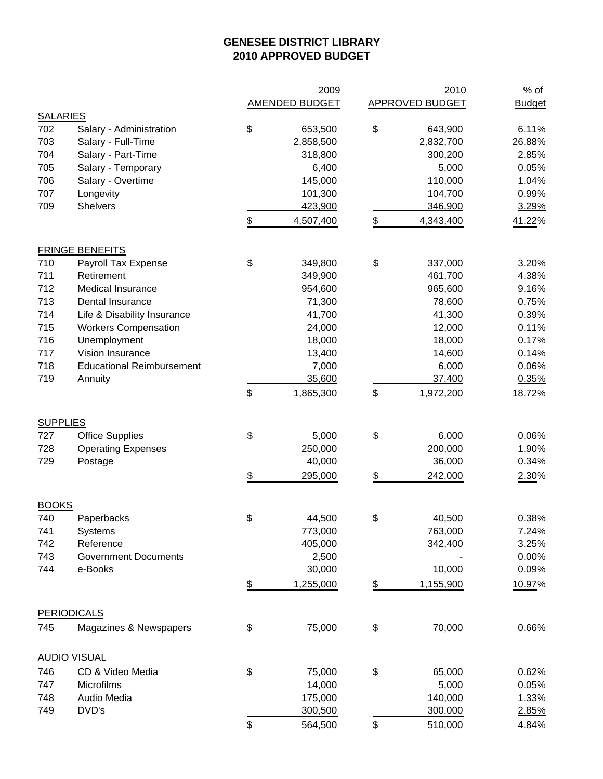## **GENESEE DISTRICT LIBRARY 2010 APPROVED BUDGET**

|                 |                                  | 2009                  |                          | 2010                   | $%$ of        |
|-----------------|----------------------------------|-----------------------|--------------------------|------------------------|---------------|
|                 |                                  | <b>AMENDED BUDGET</b> |                          | <b>APPROVED BUDGET</b> | <b>Budget</b> |
| <b>SALARIES</b> |                                  |                       |                          |                        |               |
| 702             | Salary - Administration          | \$<br>653,500         | \$                       | 643,900                | 6.11%         |
| 703             | Salary - Full-Time               | 2,858,500             |                          | 2,832,700              | 26.88%        |
| 704             | Salary - Part-Time               | 318,800               |                          | 300,200                | 2.85%         |
| 705             | Salary - Temporary               | 6,400                 |                          | 5,000                  | 0.05%         |
| 706             | Salary - Overtime                | 145,000               |                          | 110,000                | 1.04%         |
| 707             | Longevity                        | 101,300               |                          | 104,700                | 0.99%         |
| 709             | <b>Shelvers</b>                  | 423,900               |                          | 346,900                | 3.29%         |
|                 |                                  | \$<br>4,507,400       | $\frac{1}{2}$            | 4,343,400              | 41.22%        |
|                 | <b>FRINGE BENEFITS</b>           |                       |                          |                        |               |
| 710             | Payroll Tax Expense              | \$<br>349,800         | \$                       | 337,000                | 3.20%         |
| 711             | Retirement                       | 349,900               |                          | 461,700                | 4.38%         |
| 712             | Medical Insurance                | 954,600               |                          | 965,600                | 9.16%         |
| 713             | Dental Insurance                 | 71,300                |                          | 78,600                 | 0.75%         |
| 714             | Life & Disability Insurance      | 41,700                |                          | 41,300                 | 0.39%         |
| 715             | <b>Workers Compensation</b>      | 24,000                |                          | 12,000                 | 0.11%         |
| 716             | Unemployment                     | 18,000                |                          | 18,000                 | 0.17%         |
| 717             | Vision Insurance                 | 13,400                |                          | 14,600                 | 0.14%         |
| 718             | <b>Educational Reimbursement</b> | 7,000                 |                          | 6,000                  | 0.06%         |
| 719             | Annuity                          | 35,600                |                          | 37,400                 | 0.35%         |
|                 |                                  | \$<br>1,865,300       | \$                       | 1,972,200              | 18.72%        |
| <b>SUPPLIES</b> |                                  |                       |                          |                        |               |
| 727             | <b>Office Supplies</b>           | \$<br>5,000           | \$                       | 6,000                  | 0.06%         |
| 728             | <b>Operating Expenses</b>        | 250,000               |                          | 200,000                | 1.90%         |
| 729             | Postage                          | 40,000                |                          | 36,000                 | 0.34%         |
|                 |                                  | \$<br>295,000         | \$                       | 242,000                | 2.30%         |
| <b>BOOKS</b>    |                                  |                       |                          |                        |               |
| 740             | Paperbacks                       | \$<br>44,500          | \$                       | 40,500                 | 0.38%         |
| 741             | Systems                          | 773,000               |                          | 763,000                | 7.24%         |
| 742             | Reference                        | 405,000               |                          | 342,400                | 3.25%         |
| 743             | <b>Government Documents</b>      | 2,500                 |                          |                        | 0.00%         |
| 744             | e-Books                          | 30,000                |                          | 10,000                 | 0.09%         |
|                 |                                  | \$<br>1,255,000       | $\frac{1}{2}$            | 1,155,900              | 10.97%        |
|                 | <b>PERIODICALS</b>               |                       |                          |                        |               |
| 745             | Magazines & Newspapers           | \$<br>75,000          | $\overline{\mathcal{L}}$ | 70,000                 | 0.66%         |
|                 | <b>AUDIO VISUAL</b>              |                       |                          |                        |               |
| 746             | CD & Video Media                 | \$<br>75,000          | \$                       | 65,000                 | 0.62%         |
| 747             | Microfilms                       | 14,000                |                          | 5,000                  | 0.05%         |
| 748             | Audio Media                      | 175,000               |                          | 140,000                | 1.33%         |
| 749             | DVD's                            | 300,500               |                          | 300,000                | 2.85%         |
|                 |                                  | \$<br>564,500         | \$                       | 510,000                | 4.84%         |
|                 |                                  |                       |                          |                        |               |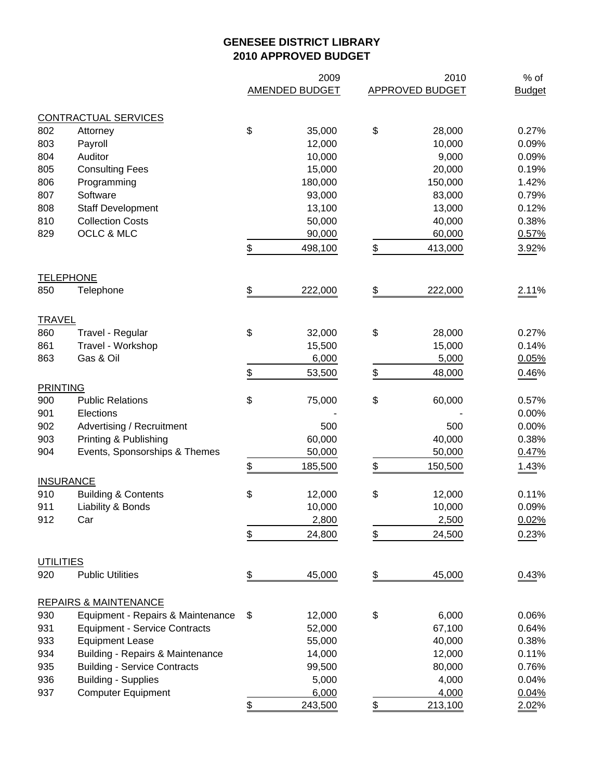## **GENESEE DISTRICT LIBRARY 2010 APPROVED BUDGET**

|                  |                                             | 2009           | 2010                   | $%$ of        |
|------------------|---------------------------------------------|----------------|------------------------|---------------|
|                  |                                             | AMENDED BUDGET | <b>APPROVED BUDGET</b> | <b>Budget</b> |
|                  |                                             |                |                        |               |
|                  | <b>CONTRACTUAL SERVICES</b>                 |                |                        |               |
| 802              | Attorney                                    | \$<br>35,000   | \$<br>28,000           | 0.27%         |
| 803              | Payroll                                     | 12,000         | 10,000                 | 0.09%         |
| 804              | Auditor                                     | 10,000         | 9,000                  | 0.09%         |
| 805              | <b>Consulting Fees</b>                      | 15,000         | 20,000                 | 0.19%         |
| 806              | Programming                                 | 180,000        | 150,000                | 1.42%         |
| 807              | Software                                    | 93,000         | 83,000                 | 0.79%         |
| 808              | <b>Staff Development</b>                    | 13,100         | 13,000                 | 0.12%         |
| 810              | <b>Collection Costs</b>                     | 50,000         | 40,000                 | 0.38%         |
| 829              | OCLC & MLC                                  | 90,000         | 60,000                 | 0.57%         |
|                  |                                             | \$<br>498,100  | \$<br>413,000          | 3.92%         |
|                  | <b>TELEPHONE</b>                            |                |                        |               |
| 850              | Telephone                                   | \$<br>222,000  | \$<br>222,000          | 2.11%         |
| <b>TRAVEL</b>    |                                             |                |                        |               |
| 860              | Travel - Regular                            | \$<br>32,000   | \$<br>28,000           | 0.27%         |
| 861              | Travel - Workshop                           | 15,500         | 15,000                 | 0.14%         |
| 863              | Gas & Oil                                   | 6,000          | 5,000                  | 0.05%         |
|                  |                                             |                |                        |               |
| <b>PRINTING</b>  |                                             | \$<br>53,500   | \$<br>48,000           | 0.46%         |
| 900              | <b>Public Relations</b>                     | \$<br>75,000   | \$<br>60,000           | 0.57%         |
| 901              | Elections                                   |                |                        | 0.00%         |
| 902              | Advertising / Recruitment                   | 500            | 500                    | 0.00%         |
| 903              | Printing & Publishing                       | 60,000         | 40,000                 | 0.38%         |
| 904              | Events, Sponsorships & Themes               | 50,000         | 50,000                 | 0.47%         |
|                  |                                             |                |                        |               |
|                  | <b>INSURANCE</b>                            | \$<br>185,500  | \$<br>150,500          | 1.43%         |
| 910              | <b>Building &amp; Contents</b>              | \$<br>12,000   | \$<br>12,000           | 0.11%         |
| 911              | Liability & Bonds                           | 10,000         | 10,000                 | 0.09%         |
| 912              | Car                                         | 2,800          | 2,500                  | 0.02%         |
|                  |                                             |                |                        |               |
|                  |                                             | \$<br>24,800   | \$<br>24,500           | 0.23%         |
| <b>UTILITIES</b> |                                             |                |                        |               |
| 920              | <b>Public Utilities</b>                     | \$<br>45,000   | \$<br>45,000           | 0.43%         |
|                  | <b>REPAIRS &amp; MAINTENANCE</b>            |                |                        |               |
| 930              | Equipment - Repairs & Maintenance           | \$<br>12,000   | \$<br>6,000            | 0.06%         |
| 931              | <b>Equipment - Service Contracts</b>        | 52,000         | 67,100                 | 0.64%         |
| 933              | <b>Equipment Lease</b>                      | 55,000         | 40,000                 | 0.38%         |
| 934              | <b>Building - Repairs &amp; Maintenance</b> | 14,000         | 12,000                 | 0.11%         |
| 935              | <b>Building - Service Contracts</b>         | 99,500         | 80,000                 | 0.76%         |
| 936              | <b>Building - Supplies</b>                  | 5,000          | 4,000                  | 0.04%         |
| 937              | <b>Computer Equipment</b>                   | 6,000          | 4,000                  | 0.04%         |
|                  |                                             | \$<br>243,500  | \$<br>213,100          | 2.02%         |